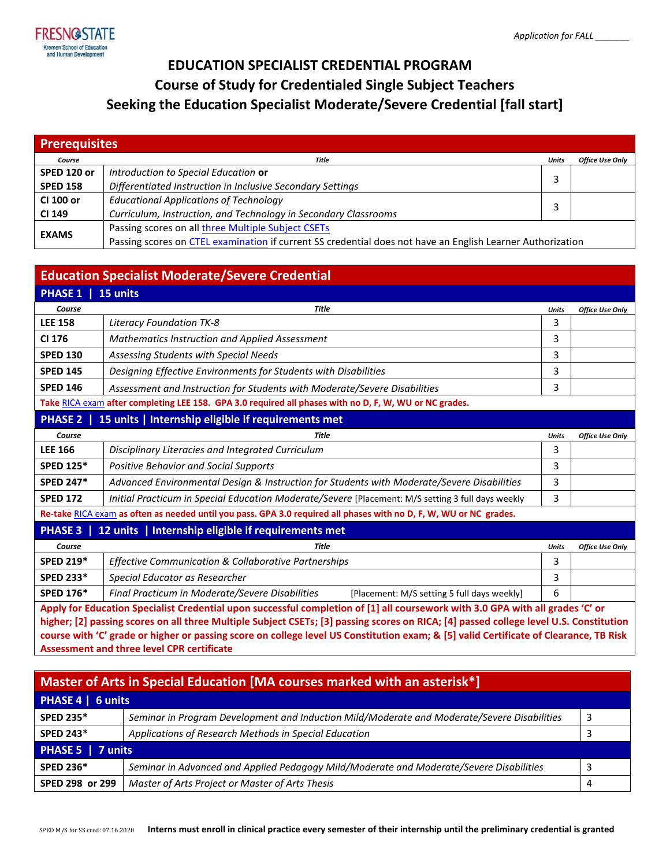

# **EDUCATION SPECIALIST CREDENTIAL PROGRAM Course of Study for Credentialed Single Subject Teachers Seeking the Education Specialist Moderate/Severe Credential [fall start]**

| <b>Prerequisites</b> |                                                                                                            |       |                        |  |  |
|----------------------|------------------------------------------------------------------------------------------------------------|-------|------------------------|--|--|
| Course               | Title                                                                                                      | Units | <b>Office Use Only</b> |  |  |
| SPED 120 or          | Introduction to Special Education or                                                                       |       |                        |  |  |
| <b>SPED 158</b>      | Differentiated Instruction in Inclusive Secondary Settings                                                 |       |                        |  |  |
| <b>CI 100 or</b>     | <b>Educational Applications of Technology</b>                                                              |       |                        |  |  |
| <b>CI 149</b>        | Curriculum, Instruction, and Technology in Secondary Classrooms                                            |       |                        |  |  |
| <b>EXAMS</b>         | Passing scores on all three Multiple Subject CSETs                                                         |       |                        |  |  |
|                      | Passing scores on CTEL examination if current SS credential does not have an English Learner Authorization |       |                        |  |  |

| <b>Education Specialist Moderate/Severe Credential</b>                                                                                                                                                                                                                                                                                                                                                            |                                                                                                   |              |                        |  |  |  |
|-------------------------------------------------------------------------------------------------------------------------------------------------------------------------------------------------------------------------------------------------------------------------------------------------------------------------------------------------------------------------------------------------------------------|---------------------------------------------------------------------------------------------------|--------------|------------------------|--|--|--|
| PHASE 1   15 units                                                                                                                                                                                                                                                                                                                                                                                                |                                                                                                   |              |                        |  |  |  |
| Course                                                                                                                                                                                                                                                                                                                                                                                                            | <b>Title</b>                                                                                      | <b>Units</b> | <b>Office Use Only</b> |  |  |  |
| <b>LEE 158</b>                                                                                                                                                                                                                                                                                                                                                                                                    | <b>Literacy Foundation TK-8</b>                                                                   | 3            |                        |  |  |  |
| CI 176                                                                                                                                                                                                                                                                                                                                                                                                            | Mathematics Instruction and Applied Assessment                                                    | 3            |                        |  |  |  |
| <b>SPED 130</b>                                                                                                                                                                                                                                                                                                                                                                                                   | Assessing Students with Special Needs                                                             | 3            |                        |  |  |  |
| <b>SPED 145</b>                                                                                                                                                                                                                                                                                                                                                                                                   | Designing Effective Environments for Students with Disabilities                                   | 3            |                        |  |  |  |
| <b>SPED 146</b>                                                                                                                                                                                                                                                                                                                                                                                                   | Assessment and Instruction for Students with Moderate/Severe Disabilities                         | 3            |                        |  |  |  |
| Take RICA exam after completing LEE 158. GPA 3.0 required all phases with no D, F, W, WU or NC grades.                                                                                                                                                                                                                                                                                                            |                                                                                                   |              |                        |  |  |  |
|                                                                                                                                                                                                                                                                                                                                                                                                                   | PHASE 2   15 units   Internship eligible if requirements met                                      |              |                        |  |  |  |
| Course                                                                                                                                                                                                                                                                                                                                                                                                            | <b>Title</b>                                                                                      | <b>Units</b> | <b>Office Use Only</b> |  |  |  |
| <b>LEE 166</b>                                                                                                                                                                                                                                                                                                                                                                                                    | Disciplinary Literacies and Integrated Curriculum                                                 | 3            |                        |  |  |  |
| <b>SPED 125*</b>                                                                                                                                                                                                                                                                                                                                                                                                  | <b>Positive Behavior and Social Supports</b>                                                      | 3            |                        |  |  |  |
| <b>SPED 247*</b>                                                                                                                                                                                                                                                                                                                                                                                                  | Advanced Environmental Design & Instruction for Students with Moderate/Severe Disabilities        | 3            |                        |  |  |  |
| <b>SPED 172</b>                                                                                                                                                                                                                                                                                                                                                                                                   | Initial Practicum in Special Education Moderate/Severe [Placement: M/S setting 3 full days weekly | 3            |                        |  |  |  |
| Re-take RICA exam as often as needed until you pass. GPA 3.0 required all phases with no D, F, W, WU or NC grades.                                                                                                                                                                                                                                                                                                |                                                                                                   |              |                        |  |  |  |
| <b>PHASE 3</b>                                                                                                                                                                                                                                                                                                                                                                                                    | 12 units   Internship eligible if requirements met                                                |              |                        |  |  |  |
| Course                                                                                                                                                                                                                                                                                                                                                                                                            | <b>Title</b>                                                                                      | <b>Units</b> | <b>Office Use Only</b> |  |  |  |
| <b>SPED 219*</b>                                                                                                                                                                                                                                                                                                                                                                                                  | <b>Effective Communication &amp; Collaborative Partnerships</b>                                   | 3            |                        |  |  |  |
| <b>SPED 233*</b>                                                                                                                                                                                                                                                                                                                                                                                                  | Special Educator as Researcher                                                                    | 3            |                        |  |  |  |
| <b>SPED 176*</b>                                                                                                                                                                                                                                                                                                                                                                                                  | Final Practicum in Moderate/Severe Disabilities<br>[Placement: M/S setting 5 full days weekly]    | 6            |                        |  |  |  |
| Apply for Education Specialist Credential upon successful completion of [1] all coursework with 3.0 GPA with all grades 'C' or<br>higher; [2] passing scores on all three Multiple Subject CSETs; [3] passing scores on RICA; [4] passed college level U.S. Constitution<br>course with 'C' grade or higher or passing score on college level US Constitution exam; & [5] valid Certificate of Clearance, TB Risk |                                                                                                   |              |                        |  |  |  |

**Assessment and three level CPR certificate**

| <b>Master of Arts in Special Education [MA courses marked with an asterisk*]</b> |                                                                                             |  |  |  |  |
|----------------------------------------------------------------------------------|---------------------------------------------------------------------------------------------|--|--|--|--|
| PHASE 4   6 units                                                                |                                                                                             |  |  |  |  |
| <b>SPED 235*</b>                                                                 | Seminar in Program Development and Induction Mild/Moderate and Moderate/Severe Disabilities |  |  |  |  |
| <b>SPED 243*</b>                                                                 | Applications of Research Methods in Special Education                                       |  |  |  |  |
| PHASE 5   7 units                                                                |                                                                                             |  |  |  |  |
| <b>SPED 236*</b>                                                                 | Seminar in Advanced and Applied Pedagogy Mild/Moderate and Moderate/Severe Disabilities     |  |  |  |  |
| SPED 298 or 299                                                                  | Master of Arts Project or Master of Arts Thesis                                             |  |  |  |  |